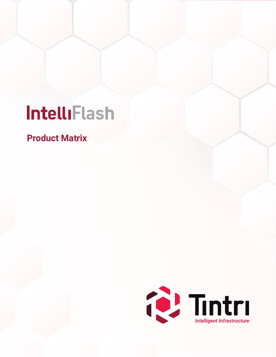# IntelliFlash

**Product Matrix**

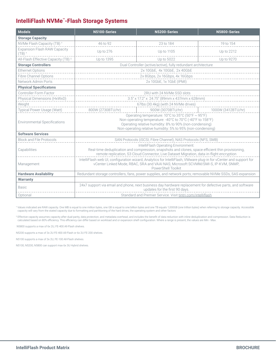# **IntelliFlash NVMe™-Flash Storage Systems**

| <b>Models</b>                                              | N5100-Series                                                                                                                                                                                                                             | N5200-Series                                                  | N5800-Series       |  |
|------------------------------------------------------------|------------------------------------------------------------------------------------------------------------------------------------------------------------------------------------------------------------------------------------------|---------------------------------------------------------------|--------------------|--|
| <b>Storage Capacity</b>                                    |                                                                                                                                                                                                                                          |                                                               |                    |  |
| NVMe Flash Capacity (TB) <sup>+</sup>                      | 46 to 92                                                                                                                                                                                                                                 | 23 to 184                                                     | 19 to 154          |  |
| <b>Expansion Flash RAW Capacity</b><br>$(TB)$ <sup>+</sup> | Up to 276                                                                                                                                                                                                                                | Up to 1105                                                    | Up to 2212         |  |
| All-Flash Effective Capacity (TB) #                        | Up to 1395                                                                                                                                                                                                                               | Up to 5022                                                    | Up to 9270         |  |
| <b>Storage Controllers</b>                                 |                                                                                                                                                                                                                                          | Dual Controller (active/active), fully redundant architecture |                    |  |
| <b>Ethernet Options</b>                                    |                                                                                                                                                                                                                                          | 2x 10GbE, 4x 10GbE, 2x 40GbE                                  |                    |  |
| <b>Fibre Channel Options</b>                               |                                                                                                                                                                                                                                          | 2x 8Gbps, 2x 16Gbps, 4x 16Gbps                                |                    |  |
| Network Admin Ports                                        |                                                                                                                                                                                                                                          | 2x 10GbE, 1x 1GbE (IPMI)                                      |                    |  |
| <b>Physical Specificatons</b>                              |                                                                                                                                                                                                                                          |                                                               |                    |  |
| Controller Form Factor                                     |                                                                                                                                                                                                                                          | 2RU with 24 NVMe SSD slots                                    |                    |  |
| Physical Dimensions (HxWxD)                                |                                                                                                                                                                                                                                          | $3.5''$ x 17.2" x 24.75" (89mm x 437mm x 628mm)               |                    |  |
| Weight                                                     |                                                                                                                                                                                                                                          | 67lbs (30.4kg) (with 24 NVMe drives)                          |                    |  |
| Typical Power Usage (Watt)                                 | 800W (2730BTU/hr)                                                                                                                                                                                                                        | 900W (3070BTU/hr)                                             | 1000W (3412BTU/hr) |  |
| <b>Environmental Specifications</b>                        | Operating temperature: 10°C to 35°C (50°F ~ 95°F)<br>Non-operating temperature: -40°C to 70°C (-40°F to 158°F)<br>Operating relative humidity: 8% to 90% (non-condensing)<br>Non-operating relative humidity: 5% to 95% (non-condensing) |                                                               |                    |  |
| <b>Software Services</b>                                   |                                                                                                                                                                                                                                          |                                                               |                    |  |
| <b>Block and File Protocols</b>                            | SAN Protocols (iSCSI, Fibre Channel), NAS Protocols (NFS, SMB)                                                                                                                                                                           |                                                               |                    |  |
| Capabilities                                               | IntelliFlash Operating Environment:<br>Real-time deduplication and compression, snapshots and clones, space efficient thin provisioning,<br>remote replication, S3 Cloud Connector, Live Dataset Migration, data-in-flight encryption    |                                                               |                    |  |
| Management                                                 | IntelliFlash web UI, configuration wizard, Analytics for IntelliFlash, VMware plug-in for vCenter and support for<br>vCenter Linked Mode, RBAC, SRA and VAAI NAS; Microsoft SCVMM/SMI-S, IP-KVM, SNMP,<br>PowerShell Toolkit             |                                                               |                    |  |
| <b>Hardware Availability</b>                               | Redundant storage controllers, fans, power supplies, and network ports; removable NVMe SSDs, SAS expansion                                                                                                                               |                                                               |                    |  |
| <b>Warranty</b>                                            |                                                                                                                                                                                                                                          |                                                               |                    |  |
| <b>Basic</b>                                               | 24x7 support via email and phone, next business day hardware replacement for defective parts, and software<br>updates for the first 90 days.                                                                                             |                                                               |                    |  |
| Optional                                                   | Standard and Premier Service. Visit tintri.com/intelliflash                                                                                                                                                                              |                                                               |                    |  |

† Values indicated are RAW capacity. One MB is equal to one million bytes, one GB is equal to one billion bytes and one TB equals 1,000GB (one trillion bytes) when referring to storage capacity. Accessible capacity will vary from the stated capacity due to formatting and partitioning of the hard drives, the operating system and other factors

‡ Effective capacity assumes capacity after dual-parity, data protection, and metadata overhead, and includes the benefit of data reduction with inline deduplication and compression. Data Reduction is<br>⊂calculated based on

N5800 supports a max of 6x 2U, FE-400 All-Flash shelves.

N5200 supports a max of 3x 2U FE-400 All-Flash or 6x 2U FE-200 shelves.

N5100 supports a max of 3x 2U, FE-100 All-Flash shelves.

N5100, N5200, N5800 can support max 6x 3U Hybrid shelves.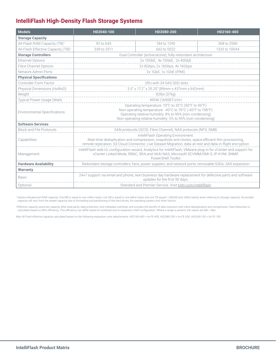# **IntelliFlash High-Density Flash Storage Systems**

| <b>Models</b>                                                                                                     | HD2040-100                                                                                                                                                                                             | HD2080-200                                                                                                | HD2160-400    |  |  |  |
|-------------------------------------------------------------------------------------------------------------------|--------------------------------------------------------------------------------------------------------------------------------------------------------------------------------------------------------|-----------------------------------------------------------------------------------------------------------|---------------|--|--|--|
| <b>Storage Capacity</b>                                                                                           |                                                                                                                                                                                                        |                                                                                                           |               |  |  |  |
| All-Flash RAW Capacity (TB) <sup>+</sup>                                                                          | 92 to 645                                                                                                                                                                                              | 184 to 1290                                                                                               | 368 to 2580   |  |  |  |
| All-Flash Effective Capacity (TB) <sup>‡</sup>                                                                    | 339 to 2511                                                                                                                                                                                            | 662 to 5022                                                                                               | 1325 to 10044 |  |  |  |
| <b>Storage Controllers</b>                                                                                        |                                                                                                                                                                                                        | Dual Controller (active/active), fully redundant architecture                                             |               |  |  |  |
| <b>Ethernet Options</b>                                                                                           |                                                                                                                                                                                                        | 2x 10GbE, 4x 10GbE, 2x 40GbE                                                                              |               |  |  |  |
| <b>Fibre Channel Options</b>                                                                                      |                                                                                                                                                                                                        | 2x 8Gbps, 2x 16Gbps, 4x 16Gbps                                                                            |               |  |  |  |
| Network Admin Ports                                                                                               |                                                                                                                                                                                                        | 2x 1GbE, 1x 1GbE (IPMI)                                                                                   |               |  |  |  |
| <b>Physical Specifications</b>                                                                                    |                                                                                                                                                                                                        |                                                                                                           |               |  |  |  |
| Controller Form Factor                                                                                            |                                                                                                                                                                                                        | 2RU with 24 SAS SDD slots                                                                                 |               |  |  |  |
| Physical Dimensions (HxWxD)                                                                                       |                                                                                                                                                                                                        | $3.5''$ x 17.2" x 25.25" (89mm x 437mm x 642mm)                                                           |               |  |  |  |
| Weight                                                                                                            |                                                                                                                                                                                                        | 82lbs (37kg)                                                                                              |               |  |  |  |
| <b>Typical Power Usage (Watt)</b>                                                                                 | 495W (1690BTU/hr)                                                                                                                                                                                      |                                                                                                           |               |  |  |  |
|                                                                                                                   | Operating temperature: 10°C to 35°C (50°F to 95°F)                                                                                                                                                     |                                                                                                           |               |  |  |  |
| <b>Environmental Specifications</b>                                                                               | Non-operating temperature: -40°C to 70°C (-40°F to 158°F)<br>Operating relative humidity: 8% to 90% (non-condensing)                                                                                   |                                                                                                           |               |  |  |  |
|                                                                                                                   | Non-operating relative humidity: 5% to 95% (non-condensing)                                                                                                                                            |                                                                                                           |               |  |  |  |
| <b>Software Services</b>                                                                                          |                                                                                                                                                                                                        |                                                                                                           |               |  |  |  |
| <b>Block and File Protocols</b>                                                                                   |                                                                                                                                                                                                        | SAN protocols (iSCSI, Fibre Channel), NAS protocols (NFS, SMB)                                            |               |  |  |  |
|                                                                                                                   | IntelliFlash Operating Environment:                                                                                                                                                                    |                                                                                                           |               |  |  |  |
| Real-time deduplication and compression, snapshots and clones, space efficient thin provisioning,<br>Capabilities |                                                                                                                                                                                                        |                                                                                                           |               |  |  |  |
| remote replication, S3 Cloud Connector, Live Dataset Migration, data-at-rest and data-in-flight encryption        |                                                                                                                                                                                                        |                                                                                                           |               |  |  |  |
| Management                                                                                                        | IntelliFlash web UI, configuration wizard, Analytics for IntelliFlash, VMware plug-in for vCenter and support for<br>vCenter Linked Mode, RBAC, SRA and VAAI NAS; Microsoft SCVMM/SMI-S, IP-KVM, SNMP, |                                                                                                           |               |  |  |  |
|                                                                                                                   | PowerShell Toolkit                                                                                                                                                                                     |                                                                                                           |               |  |  |  |
| <b>Hardware Availability</b>                                                                                      | Redundant storage controllers, fans, power supplies, and network ports; removable SSDs, SAS expansion                                                                                                  |                                                                                                           |               |  |  |  |
| <b>Warranty</b>                                                                                                   |                                                                                                                                                                                                        |                                                                                                           |               |  |  |  |
| <b>Basic</b>                                                                                                      |                                                                                                                                                                                                        | 24×7 support via email and phone, next business day hardware replacement for defective parts and software |               |  |  |  |
|                                                                                                                   | updates for the first 90 days.                                                                                                                                                                         |                                                                                                           |               |  |  |  |
| Optional                                                                                                          | Standard and Premier Service. Visit tintri.com/intelliflash                                                                                                                                            |                                                                                                           |               |  |  |  |

\*Values indicated are RAW capacity. One MB is equal to one million bytes, one GB is equal to one billion bytes and one TB equals 1,000GB (one trillion bytes) when referring to storage capacity. Accessible<br>capacity will var

‡Effective capacity assumes capacity after dual-parity, data protection, and metadata overhead, and includes the benefit of data reduction with inline deduplication and compression. Data Reduction is<br>⊂calculated based on

Max All Flash effective capacity calculated based on the following expansion units attachments: HD2160-400 + 6x FE-400, HD2080-200 + 6x FE-200, HD2040-100 + 6x FE-100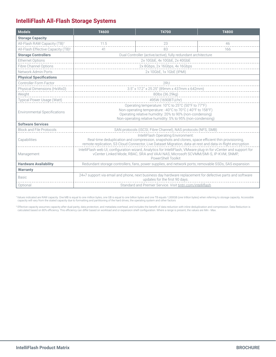# **IntelliFlash All-Flash Storage Systems**

| <b>Models</b>                                  | T4600                                                                                                                                                                                                                                                  | T4700                                                          | T4800 |  |  |
|------------------------------------------------|--------------------------------------------------------------------------------------------------------------------------------------------------------------------------------------------------------------------------------------------------------|----------------------------------------------------------------|-------|--|--|
| <b>Storage Capacity</b>                        |                                                                                                                                                                                                                                                        |                                                                |       |  |  |
| All-Flash RAW Capacity (TB) <sup>+</sup>       | 11.5                                                                                                                                                                                                                                                   | 23                                                             | 46    |  |  |
| All-Flash Effective Capacity (TB) <sup>‡</sup> | 41                                                                                                                                                                                                                                                     | 83                                                             | 166   |  |  |
| <b>Storage Controllers</b>                     | Dual Controller (active/active), fully redundant architecture                                                                                                                                                                                          |                                                                |       |  |  |
| <b>Ethernet Options</b>                        |                                                                                                                                                                                                                                                        | 2x 10GbE, 4x 10GbE, 2x 40GbE                                   |       |  |  |
| <b>Fibre Channel Options</b>                   | 2x 8Gbps, 2x 16Gbps, 4x 16Gbps                                                                                                                                                                                                                         |                                                                |       |  |  |
| Network Admin Ports                            |                                                                                                                                                                                                                                                        | 2x 10GbE, 1x 1GbE (IPMI)                                       |       |  |  |
| <b>Physical Specifications</b>                 |                                                                                                                                                                                                                                                        |                                                                |       |  |  |
| Controller Form Factor                         |                                                                                                                                                                                                                                                        | 2RU                                                            |       |  |  |
| Physical Dimensions (HxWxD)                    |                                                                                                                                                                                                                                                        | 3.5" x 17.2" x 25.25" (89mm x 437mm x 642mm)                   |       |  |  |
| Weight                                         |                                                                                                                                                                                                                                                        | 80lbs (36.29kg)                                                |       |  |  |
| Typical Power Usage (Watt)                     |                                                                                                                                                                                                                                                        | 495W (1690BTU/hr)                                              |       |  |  |
| <b>Environmental Specifications</b>            | Operating temperature: 10°C to 25°C (50°F to 77°F)<br>Non-operating temperature: -40°C to 70°C (-40°F to 158°F)<br>Operating relative humidity: 20% to 90% (non-condensing)<br>Non-operating relative humidity: 5% to 95% (non-condensing)             |                                                                |       |  |  |
| <b>Software Services</b>                       |                                                                                                                                                                                                                                                        |                                                                |       |  |  |
| <b>Block and File Protocols</b>                |                                                                                                                                                                                                                                                        | SAN protocols (iSCSI, Fibre Channel), NAS protocols (NFS, SMB) |       |  |  |
| Capabilities                                   | IntelliFlash Operating Environment:<br>Real-time deduplication and compression, snapshots and clones, space efficient thin provisioning,<br>remote replication, S3 Cloud Connector, Live Dataset Migration, data-at-rest and data-in-flight encryption |                                                                |       |  |  |
| Management                                     | IntelliFlash web UI, configuration wizard, Analytics for IntelliFlash, VMware plug-in for vCenter and support for<br>vCenter Linked Mode, RBAC, SRA and VAAI NAS; Microsoft SCVMM/SMI-S, IP-KVM, SNMP,<br>PowerShell Toolkit                           |                                                                |       |  |  |
| <b>Hardware Availability</b>                   | Redundant storage controllers, fans, power supplies, and network ports; removable SSDs, SAS expansion                                                                                                                                                  |                                                                |       |  |  |
| <b>Warranty</b>                                |                                                                                                                                                                                                                                                        |                                                                |       |  |  |
| <b>Basic</b>                                   | 24×7 support via email and phone, next business day hardware replacement for defective parts and software<br>updates for the first 90 days.                                                                                                            |                                                                |       |  |  |
| Optional                                       |                                                                                                                                                                                                                                                        | Standard and Premier Service. Visit tintri.com/intelliflash    |       |  |  |

\*Values indicated are RAW capacity. One MB is equal to one million bytes, one GB is equal to one billion bytes and one TB equals 1,000GB (one trillion bytes) when referring to storage capacity. Accessible<br>capacity will var

‡ Effective capacity assumes capacity after dual-parity, data protection, and metadata overhead, and includes the benefit of data reduction with inline deduplication and compression. Data Reduction is<br>⊂calculated based on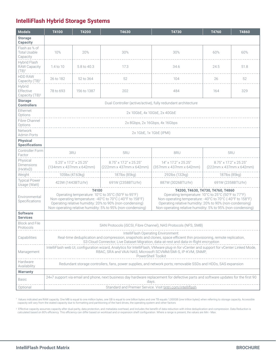# **IntelliFlash Hybrid Storage Systems**

| <b>Models</b>                                            | T4100                                                                                                                                                                                                                                                                                                                                                                                                                                                                                                                                  | T4200       | T4630                                             | T4730                                           | T4760                                             | T4860 |  |  |
|----------------------------------------------------------|----------------------------------------------------------------------------------------------------------------------------------------------------------------------------------------------------------------------------------------------------------------------------------------------------------------------------------------------------------------------------------------------------------------------------------------------------------------------------------------------------------------------------------------|-------------|---------------------------------------------------|-------------------------------------------------|---------------------------------------------------|-------|--|--|
| <b>Storage</b><br>Capacity                               |                                                                                                                                                                                                                                                                                                                                                                                                                                                                                                                                        |             |                                                   |                                                 |                                                   |       |  |  |
| Flash as % of<br><b>Total Usable</b><br>Capacity         | 10%                                                                                                                                                                                                                                                                                                                                                                                                                                                                                                                                    | 20%         | 30%                                               | 30%                                             | 60%                                               | 60%   |  |  |
| Hybrid Flash<br>RAW Capacity<br>$(TB)^{+}$               | 1.4 to 10                                                                                                                                                                                                                                                                                                                                                                                                                                                                                                                              | 5.8 to 40.3 | 17.3                                              | 34.6                                            | 24.5                                              | 51.8  |  |  |
| <b>HDD RAW</b><br>Capacity (TB) <sup>+</sup>             | 26 to 182                                                                                                                                                                                                                                                                                                                                                                                                                                                                                                                              | 52 to 364   | 52                                                | 104                                             | 26                                                | 52    |  |  |
| <b>Hybrid</b><br>Effective<br>Capacity (TB) <sup>‡</sup> | 78 to 693                                                                                                                                                                                                                                                                                                                                                                                                                                                                                                                              | 156 to 1387 | 202                                               | 484                                             | 164                                               | 329   |  |  |
| <b>Storage</b><br><b>Controllers</b>                     | Dual Controller (active/active), fully redundant architecture                                                                                                                                                                                                                                                                                                                                                                                                                                                                          |             |                                                   |                                                 |                                                   |       |  |  |
| <b>Ethernet</b><br>Options                               | 2x 10GbE, 4x 10GbE, 2x 40GbE                                                                                                                                                                                                                                                                                                                                                                                                                                                                                                           |             |                                                   |                                                 |                                                   |       |  |  |
| Fibre Channel<br>Options                                 | 2x 8Gbps, 2x 16Gbps, 4x 16Gbps                                                                                                                                                                                                                                                                                                                                                                                                                                                                                                         |             |                                                   |                                                 |                                                   |       |  |  |
| Network<br>Admin Ports                                   | 2x 1GbE, 1x 1GbE (IPMI)                                                                                                                                                                                                                                                                                                                                                                                                                                                                                                                |             |                                                   |                                                 |                                                   |       |  |  |
| <b>Physical</b><br><b>Specifications</b>                 |                                                                                                                                                                                                                                                                                                                                                                                                                                                                                                                                        |             |                                                   |                                                 |                                                   |       |  |  |
| Controller Form<br>Factor                                |                                                                                                                                                                                                                                                                                                                                                                                                                                                                                                                                        | 3RU         | 5RU                                               | 8RU                                             |                                                   | 5RU   |  |  |
| Physical<br><b>Dimensions</b><br>(HxWxD)                 | 5.25" x 17.2" x 25.25"<br>$(134mm \times 437mm \times 642mm)$                                                                                                                                                                                                                                                                                                                                                                                                                                                                          |             | 8.75" x 17.2" x 25.25"<br>(222mm x 437mm x 642mm) | 14" x 17.2" x 25.25"<br>(357mm x 437mm x 642mm) | 8.75" x 17.2" x 25.25"<br>(222mm x 437mm x 642mm) |       |  |  |
| Weight                                                   | 105lbs (47.63kg)                                                                                                                                                                                                                                                                                                                                                                                                                                                                                                                       |             | 187lbs (85kg)                                     | 292lbs (132kg)                                  | 187lbs (85kg)                                     |       |  |  |
| <b>Typical Power</b><br>Usage (Watt)                     | 423W (1443BTU/hr)                                                                                                                                                                                                                                                                                                                                                                                                                                                                                                                      |             | 691W (2358BTU/hr)                                 | 887W (3026BTU/hr)                               | 691W (2358BTU/hr)                                 |       |  |  |
| Environmental<br>Specifications                          | T4100<br>T4200, T4630, T4730, T4760, T4860<br>Operating temperature: 10°C to 35°C (50°F to 95°F)<br>Operating temperature: 10°C to 25°C (50°F to 77°F)<br>Non-operating temperature: -40°C to 70°C (-40°F to 158°F)<br>Non-operating temperature: -40°C to 70°C (-40°F to 158°F)<br>Operating relative humidity: 20% to 90% (non-condensing)<br>Operating relative humidity: 20% to 90% (non-condensing)<br>Non-operating relative humidity: 5% to 95% (non-condensing)<br>Non-operating relative humidity: 5% to 95% (non-condensing) |             |                                                   |                                                 |                                                   |       |  |  |
| <b>Software</b><br><b>Services</b>                       |                                                                                                                                                                                                                                                                                                                                                                                                                                                                                                                                        |             |                                                   |                                                 |                                                   |       |  |  |
| <b>Block and File</b><br>Protocols                       | SAN Protocols (iSCSI, Fibre Channel), NAS Protocols (NFS, SMB)                                                                                                                                                                                                                                                                                                                                                                                                                                                                         |             |                                                   |                                                 |                                                   |       |  |  |
| Capabilities                                             | IntelliFlash Operating Environment:<br>Real-time deduplication and compression, snapshots and clones, space efficient thin provisioning, remote replication,<br>S3 Cloud Connector, Live Dataset Migration, data-at-rest and data-in-flight encryption                                                                                                                                                                                                                                                                                 |             |                                                   |                                                 |                                                   |       |  |  |
| Management                                               | IntelliFlash web UI, configuration wizard, Analytics for IntelliFlash, VMware plug-in for vCenter and support for vCenter Linked Mode,<br>RBAC, SRA and VAAI NAS; Microsoft SCVMM/SMI-S, IP-KVM, SNMP,<br>PowerShell Toolkit                                                                                                                                                                                                                                                                                                           |             |                                                   |                                                 |                                                   |       |  |  |
| Hardware<br>Availability                                 | Redundant storage controllers, fans, power supplies, and network ports; removable SSDs and HDDs, SAS expansion                                                                                                                                                                                                                                                                                                                                                                                                                         |             |                                                   |                                                 |                                                   |       |  |  |
| <b>Warranty</b>                                          |                                                                                                                                                                                                                                                                                                                                                                                                                                                                                                                                        |             |                                                   |                                                 |                                                   |       |  |  |
| Basic                                                    | 24x7 support via email and phone, next business day hardware replacement for defective parts and software updates for the first 90<br>days.                                                                                                                                                                                                                                                                                                                                                                                            |             |                                                   |                                                 |                                                   |       |  |  |
| Optional                                                 | Standard and Premier Service. Visit tintri.com/intelliflash                                                                                                                                                                                                                                                                                                                                                                                                                                                                            |             |                                                   |                                                 |                                                   |       |  |  |

† Values indicated are RAW capacity. One MB is equal to one million bytes, one GB is equal to one billion bytes and one TB equals 1,000GB (one trillion bytes) when referring to storage capacity. Accessible capacity will vary from the stated capacity due to formatting and partitioning of the hard drives, the operating system and other factors

‡ Effective capacity assumes capacity after dual-parity, data protection, and metadata overhead, and includes the benefit of data reduction with inline deduplication and compression. Data Reduction is<br>calculated based on 8